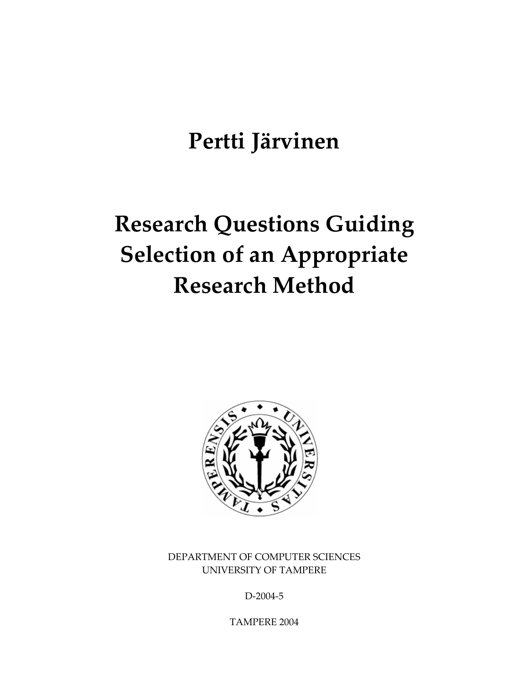## **Pertti Järvinen**

# **Research Questions Guiding Selection of an Appropriate Research Method**



DEPARTMENT OF COMPUTER SCIENCES UNIVERSITY OF TAMPERE

D‐2004‐5

TAMPERE 2004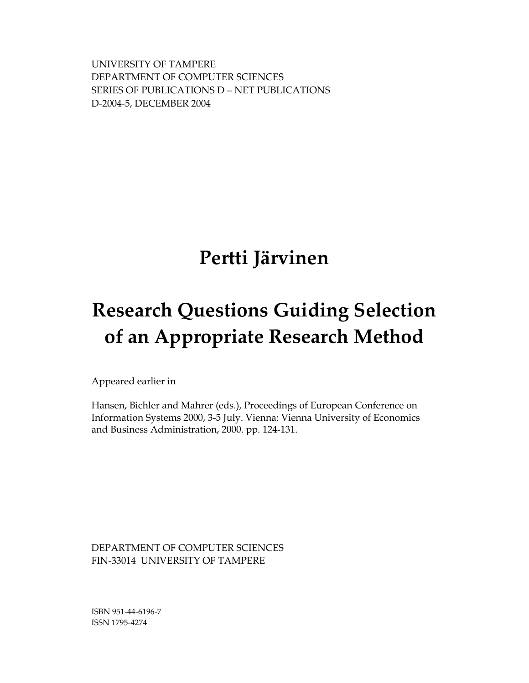UNIVERSITY OF TAMPERE DEPARTMENT OF COMPUTER SCIENCES SERIES OF PUBLICATIONS D – NET PUBLICATIONS D‐2004‐5, DECEMBER 2004

### **Pertti Järvinen**

# **Research Questions Guiding Selection of an Appropriate Research Method**

Appeared earlier in

Hansen, Bichler and Mahrer (eds.), Proceedings of European Conference on Information Systems 2000, 3-5 July. Vienna: Vienna University of Economics and Business Administration, 2000. pp. 124-131.

DEPARTMENT OF COMPUTER SCIENCES FIN‐33014 UNIVERSITY OF TAMPERE

ISBN 951‐44‐6196‐7 ISSN 1795‐4274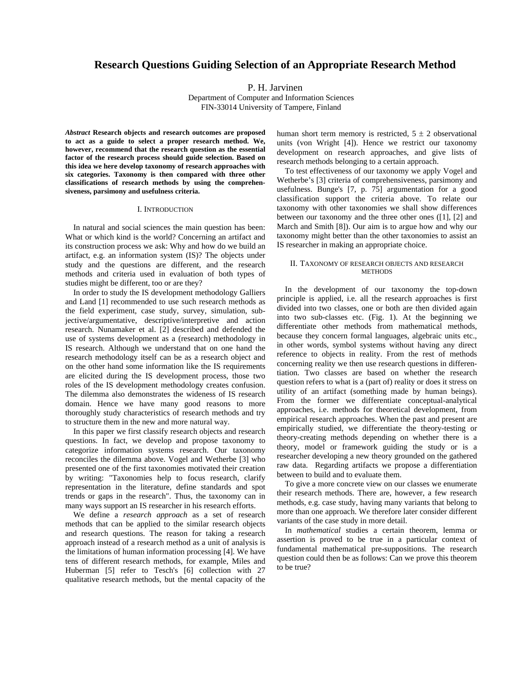#### **Research Questions Guiding Selection of an Appropriate Research Method**

P. H. Jarvinen

Department of Computer and Information Sciences FIN-33014 University of Tampere, Finland

*Abstract* **Research objects and research outcomes are proposed to act as a guide to select a proper research method. We, however, recommend that the research question as the essential factor of the research process should guide selection. Based on this idea we here develop taxonomy of research approaches with six categories. Taxonomy is then compared with three other classifications of research methods by using the comprehensiveness, parsimony and usefulness criteria.** 

#### I. INTRODUCTION

 In natural and social sciences the main question has been: What or which kind is the world? Concerning an artifact and its construction process we ask: Why and how do we build an artifact, e.g. an information system (IS)? The objects under study and the questions are different, and the research methods and criteria used in evaluation of both types of studies might be different, too or are they?

 In order to study the IS development methodology Galliers and Land [1] recommended to use such research methods as the field experiment, case study, survey, simulation, subjective/argumentative, descriptive/interpretive and action research. Nunamaker et al. [2] described and defended the use of systems development as a (research) methodology in IS research. Although we understand that on one hand the research methodology itself can be as a research object and on the other hand some information like the IS requirements are elicited during the IS development process, those two roles of the IS development methodology creates confusion. The dilemma also demonstrates the wideness of IS research domain. Hence we have many good reasons to more thoroughly study characteristics of research methods and try to structure them in the new and more natural way.

 In this paper we first classify research objects and research questions. In fact, we develop and propose taxonomy to categorize information systems research. Our taxonomy reconciles the dilemma above. Vogel and Wetherbe [3] who presented one of the first taxonomies motivated their creation by writing: "Taxonomies help to focus research, clarify representation in the literature, define standards and spot trends or gaps in the research". Thus, the taxonomy can in many ways support an IS researcher in his research efforts.

 We define a *research approach* as a set of research methods that can be applied to the similar research objects and research questions. The reason for taking a research approach instead of a research method as a unit of analysis is the limitations of human information processing [4]. We have tens of different research methods, for example, Miles and Huberman [5] refer to Tesch's [6] collection with 27 qualitative research methods, but the mental capacity of the human short term memory is restricted,  $5 \pm 2$  observational units (von Wright [4]). Hence we restrict our taxonomy development on research approaches, and give lists of research methods belonging to a certain approach.

 To test effectiveness of our taxonomy we apply Vogel and Wetherbe's [3] criteria of comprehensiveness, parsimony and usefulness. Bunge's [7, p. 75] argumentation for a good classification support the criteria above. To relate our taxonomy with other taxonomies we shall show differences between our taxonomy and the three other ones ([1], [2] and March and Smith [8]). Our aim is to argue how and why our taxonomy might better than the other taxonomies to assist an IS researcher in making an appropriate choice.

#### II. TAXONOMY OF RESEARCH OBJECTS AND RESEARCH **METHODS**

 In the development of our taxonomy the top-down principle is applied, i.e. all the research approaches is first divided into two classes, one or both are then divided again into two sub-classes etc. (Fig. 1). At the beginning we differentiate other methods from mathematical methods, because they concern formal languages, algebraic units etc., in other words, symbol systems without having any direct reference to objects in reality. From the rest of methods concerning reality we then use research questions in differentiation. Two classes are based on whether the research question refers to what is a (part of) reality or does it stress on utility of an artifact (something made by human beings). From the former we differentiate conceptual-analytical approaches, i.e. methods for theoretical development, from empirical research approaches. When the past and present are empirically studied, we differentiate the theory-testing or theory-creating methods depending on whether there is a theory, model or framework guiding the study or is a researcher developing a new theory grounded on the gathered raw data. Regarding artifacts we propose a differentiation between to build and to evaluate them.

 To give a more concrete view on our classes we enumerate their research methods. There are, however, a few research methods, e.g. case study, having many variants that belong to more than one approach. We therefore later consider different variants of the case study in more detail.

 In *mathematical* studies a certain theorem, lemma or assertion is proved to be true in a particular context of fundamental mathematical pre-suppositions. The research question could then be as follows: Can we prove this theorem to be true?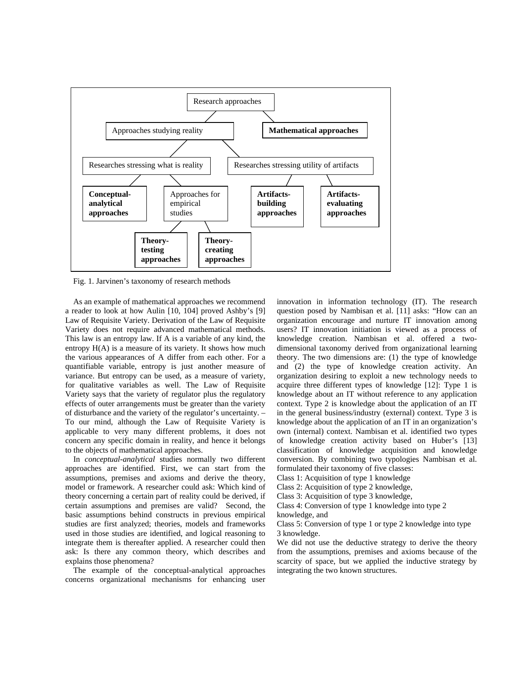

Fig. 1. Jarvinen's taxonomy of research methods

 As an example of mathematical approaches we recommend a reader to look at how Aulin [10, 104] proved Ashby's [9] Law of Requisite Variety. Derivation of the Law of Requisite Variety does not require advanced mathematical methods. This law is an entropy law. If A is a variable of any kind, the entropy H(A) is a measure of its variety. It shows how much the various appearances of A differ from each other. For a quantifiable variable, entropy is just another measure of variance. But entropy can be used, as a measure of variety, for qualitative variables as well. The Law of Requisite Variety says that the variety of regulator plus the regulatory effects of outer arrangements must be greater than the variety of disturbance and the variety of the regulator's uncertainty. – To our mind, although the Law of Requisite Variety is applicable to very many different problems, it does not concern any specific domain in reality, and hence it belongs to the objects of mathematical approaches.

 In *conceptual-analytical* studies normally two different approaches are identified. First, we can start from the assumptions, premises and axioms and derive the theory, model or framework. A researcher could ask: Which kind of theory concerning a certain part of reality could be derived, if certain assumptions and premises are valid? Second, the basic assumptions behind constructs in previous empirical studies are first analyzed; theories, models and frameworks used in those studies are identified, and logical reasoning to integrate them is thereafter applied. A researcher could then ask: Is there any common theory, which describes and explains those phenomena?

 The example of the conceptual-analytical approaches concerns organizational mechanisms for enhancing user

innovation in information technology (IT). The research question posed by Nambisan et al. [11] asks: "How can an organization encourage and nurture IT innovation among users? IT innovation initiation is viewed as a process of knowledge creation. Nambisan et al. offered a twodimensional taxonomy derived from organizational learning theory. The two dimensions are: (1) the type of knowledge and (2) the type of knowledge creation activity. An organization desiring to exploit a new technology needs to acquire three different types of knowledge [12]: Type 1 is knowledge about an IT without reference to any application context. Type 2 is knowledge about the application of an IT in the general business/industry (external) context. Type 3 is knowledge about the application of an IT in an organization's own (internal) context. Nambisan et al. identified two types of knowledge creation activity based on Huber's [13] classification of knowledge acquisition and knowledge conversion. By combining two typologies Nambisan et al. formulated their taxonomy of five classes:

Class 1: Acquisition of type 1 knowledge

Class 2: Acquisition of type 2 knowledge,

Class 3: Acquisition of type 3 knowledge,

Class 4: Conversion of type 1 knowledge into type 2 knowledge, and

Class 5: Conversion of type 1 or type 2 knowledge into type

3 knowledge. We did not use the deductive strategy to derive the theory from the assumptions, premises and axioms because of the scarcity of space, but we applied the inductive strategy by integrating the two known structures.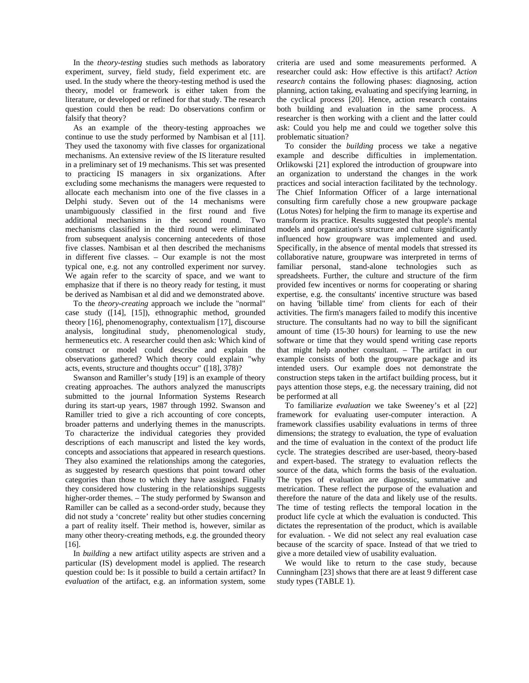In the *theory-testing* studies such methods as laboratory experiment, survey, field study, field experiment etc. are used. In the study where the theory-testing method is used the theory, model or framework is either taken from the literature, or developed or refined for that study. The research question could then be read: Do observations confirm or falsify that theory?

 As an example of the theory-testing approaches we continue to use the study performed by Nambisan et al [11]. They used the taxonomy with five classes for organizational mechanisms. An extensive review of the IS literature resulted in a preliminary set of 19 mechanisms. This set was presented to practicing IS managers in six organizations. After excluding some mechanisms the managers were requested to allocate each mechanism into one of the five classes in a Delphi study. Seven out of the 14 mechanisms were unambiguously classified in the first round and five additional mechanisms in the second round. Two mechanisms classified in the third round were eliminated from subsequent analysis concerning antecedents of those five classes. Nambisan et al then described the mechanisms in different five classes. – Our example is not the most typical one, e.g. not any controlled experiment nor survey. We again refer to the scarcity of space, and we want to emphasize that if there is no theory ready for testing, it must be derived as Nambisan et al did and we demonstrated above.

 To the *theory-creating* approach we include the "normal" case study ([14], [15]), ethnographic method, grounded theory [16], phenomenography, contextualism [17], discourse analysis, longitudinal study, phenomenological study, hermeneutics etc. A researcher could then ask: Which kind of construct or model could describe and explain the observations gathered? Which theory could explain "why acts, events, structure and thoughts occur" ([18], 378)?

 Swanson and Ramiller's study [19] is an example of theory creating approaches. The authors analyzed the manuscripts submitted to the journal Information Systems Research during its start-up years, 1987 through 1992. Swanson and Ramiller tried to give a rich accounting of core concepts, broader patterns and underlying themes in the manuscripts. To characterize the individual categories they provided descriptions of each manuscript and listed the key words, concepts and associations that appeared in research questions. They also examined the relationships among the categories, as suggested by research questions that point toward other categories than those to which they have assigned. Finally they considered how clustering in the relationships suggests higher-order themes. – The study performed by Swanson and Ramiller can be called as a second-order study, because they did not study a 'concrete' reality but other studies concerning a part of reality itself. Their method is, however, similar as many other theory-creating methods, e.g. the grounded theory [16].

 In *building* a new artifact utility aspects are striven and a particular (IS) development model is applied. The research question could be: Is it possible to build a certain artifact? In *evaluation* of the artifact, e.g. an information system, some

criteria are used and some measurements performed. A researcher could ask: How effective is this artifact? *Action research* contains the following phases: diagnosing, action planning, action taking, evaluating and specifying learning, in the cyclical process [20]. Hence, action research contains both building and evaluation in the same process. A researcher is then working with a client and the latter could ask: Could you help me and could we together solve this problematic situation?

 To consider the *building* process we take a negative example and describe difficulties in implementation. Orlikowski [21] explored the introduction of groupware into an organization to understand the changes in the work practices and social interaction facilitated by the technology. The Chief Information Officer of a large international consulting firm carefully chose a new groupware package (Lotus Notes) for helping the firm to manage its expertise and transform its practice. Results suggested that people's mental models and organization's structure and culture significantly influenced how groupware was implemented and used. Specifically, in the absence of mental models that stressed its collaborative nature, groupware was interpreted in terms of familiar personal, stand-alone technologies such as spreadsheets. Further, the culture and structure of the firm provided few incentives or norms for cooperating or sharing expertise, e.g. the consultants' incentive structure was based on having 'billable time' from clients for each of their activities. The firm's managers failed to modify this incentive structure. The consultants had no way to bill the significant amount of time (15-30 hours) for learning to use the new software or time that they would spend writing case reports that might help another consultant. – The artifact in our example consists of both the groupware package and its intended users. Our example does not demonstrate the construction steps taken in the artifact building process, but it pays attention those steps, e.g. the necessary training, did not be performed at all

 To familiarize *evaluation* we take Sweeney's et al [22] framework for evaluating user-computer interaction. A framework classifies usability evaluations in terms of three dimensions; the strategy to evaluation, the type of evaluation and the time of evaluation in the context of the product life cycle. The strategies described are user-based, theory-based and expert-based. The strategy to evaluation reflects the source of the data, which forms the basis of the evaluation. The types of evaluation are diagnostic, summative and metrication. These reflect the purpose of the evaluation and therefore the nature of the data and likely use of the results. The time of testing reflects the temporal location in the product life cycle at which the evaluation is conducted. This dictates the representation of the product, which is available for evaluation. - We did not select any real evaluation case because of the scarcity of space. Instead of that we tried to give a more detailed view of usability evaluation.

 We would like to return to the case study, because Cunningham [23] shows that there are at least 9 different case study types (TABLE 1).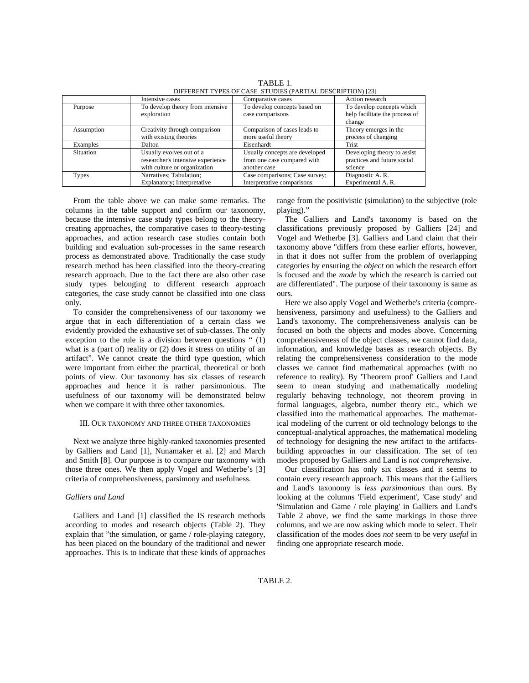|              | Intensive cases                   | Comparative cases              | Action research                |  |  |
|--------------|-----------------------------------|--------------------------------|--------------------------------|--|--|
| Purpose      | To develop theory from intensive  | To develop concepts based on   | To develop concepts which      |  |  |
|              | exploration                       | case comparisons               | help facilitate the process of |  |  |
|              |                                   |                                | change                         |  |  |
| Assumption   | Creativity through comparison     | Comparison of cases leads to   | Theory emerges in the          |  |  |
|              | with existing theories            | more useful theory             | process of changing            |  |  |
| Examples     | Dalton                            | Eisenhardt                     | Trist                          |  |  |
| Situation    | Usually evolves out of a          | Usually concepts are developed | Developing theory to assist    |  |  |
|              | researcher's intensive experience | from one case compared with    | practices and future social    |  |  |
|              | with culture or organization      | another case                   | science                        |  |  |
| <b>Types</b> | Narratives; Tabulation;           | Case comparisons; Case survey; | Diagnostic A.R.                |  |  |
|              | Explanatory; Interpretative       | Interpretative comparisons     | Experimental A. R.             |  |  |

TABLE 1. DIFFERENT TYPES OF CASE STUDIES (PARTIAL DESCRIPTION) [23]

 From the table above we can make some remarks. The columns in the table support and confirm our taxonomy, because the intensive case study types belong to the theorycreating approaches, the comparative cases to theory-testing approaches, and action research case studies contain both building and evaluation sub-processes in the same research process as demonstrated above. Traditionally the case study research method has been classified into the theory-creating research approach. Due to the fact there are also other case study types belonging to different research approach categories, the case study cannot be classified into one class only.

 To consider the comprehensiveness of our taxonomy we argue that in each differentiation of a certain class we evidently provided the exhaustive set of sub-classes. The only exception to the rule is a division between questions " (1) what is a (part of) reality or (2) does it stress on utility of an artifact". We cannot create the third type question, which were important from either the practical, theoretical or both points of view. Our taxonomy has six classes of research approaches and hence it is rather parsimonious. The usefulness of our taxonomy will be demonstrated below when we compare it with three other taxonomies.

#### III. OUR TAXONOMY AND THREE OTHER TAXONOMIES

 Next we analyze three highly-ranked taxonomies presented by Galliers and Land [1], Nunamaker et al. [2] and March and Smith [8]. Our purpose is to compare our taxonomy with those three ones. We then apply Vogel and Wetherbe's [3] criteria of comprehensiveness, parsimony and usefulness.

#### *Galliers and Land*

 Galliers and Land [1] classified the IS research methods according to modes and research objects (Table 2). They explain that "the simulation, or game / role-playing category, has been placed on the boundary of the traditional and newer approaches. This is to indicate that these kinds of approaches

range from the positivistic (simulation) to the subjective (role playing)."

 The Galliers and Land's taxonomy is based on the classifications previously proposed by Galliers [24] and Vogel and Wetherbe [3]. Galliers and Land claim that their taxonomy above "differs from these earlier efforts, however, in that it does not suffer from the problem of overlapping categories by ensuring the *object* on which the research effort is focused and the *mode* by which the research is carried out are differentiated". The purpose of their taxonomy is same as ours.

 Here we also apply Vogel and Wetherbe's criteria (comprehensiveness, parsimony and usefulness) to the Galliers and Land's taxonomy. The comprehensiveness analysis can be focused on both the objects and modes above. Concerning comprehensiveness of the object classes, we cannot find data, information, and knowledge bases as research objects. By relating the comprehensiveness consideration to the mode classes we cannot find mathematical approaches (with no reference to reality). By 'Theorem proof' Galliers and Land seem to mean studying and mathematically modeling regularly behaving technology, not theorem proving in formal languages, algebra, number theory etc., which we classified into the mathematical approaches. The mathematical modeling of the current or old technology belongs to the conceptual-analytical approaches, the mathematical modeling of technology for designing the new artifact to the artifactsbuilding approaches in our classification. The set of ten modes proposed by Galliers and Land is *not comprehensive*.

 Our classification has only six classes and it seems to contain every research approach. This means that the Galliers and Land's taxonomy is *less parsimonious* than ours. By looking at the columns 'Field experiment', 'Case study' and 'Simulation and Game / role playing' in Galliers and Land's Table 2 above, we find the same markings in those three columns, and we are now asking which mode to select. Their classification of the modes does *not* seem to be very *useful* in finding one appropriate research mode.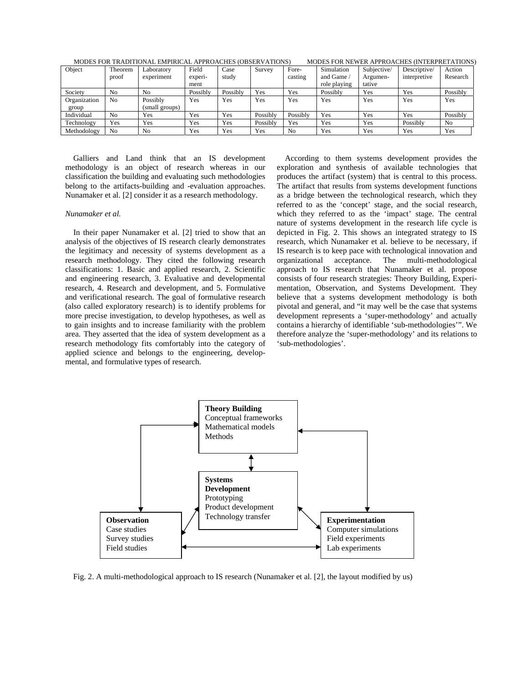| Object       | Theorem        | Laboratory     | Field    | Case     | Survey   | Fore-    | Simulation   | Subjective/ | Descriptive/ | Action         |
|--------------|----------------|----------------|----------|----------|----------|----------|--------------|-------------|--------------|----------------|
|              | proof          | experiment     | experi-  | study    |          | casting  | and Game     | Argumen-    | interpretive | Research       |
|              |                |                | ment     |          |          |          | role playing | tative      |              |                |
| Society      | N <sub>0</sub> | No             | Possibly | Possibly | Yes      | Yes      | Possibly     | Yes         | Yes          | Possibly       |
| Organization | No             | Possibly       | Yes      | Yes      | Yes      | Yes      | Yes          | Yes         | Yes          | Yes            |
| group        |                | (small groups) |          |          |          |          |              |             |              |                |
| Individual   | N <sub>0</sub> | Yes            | Yes      | Yes      | Possibly | Possibly | Yes          | Yes         | Yes          | Possibly       |
| Technology   | Yes            | Yes            | Yes      | Yes      | Possibly | Yes      | Yes          | Yes         | Possibly     | N <sub>0</sub> |
| Methodology  | N <sub>o</sub> | No             | Yes      | Yes      | Yes      | No       | Yes          | Yes         | Yes          | Yes            |

MODES FOR TRADITIONAL EMPIRICAL APPROACHES (OBSERVATIONS) MODES FOR NEWER APPROACHES (INTERPRETATIONS)

 Galliers and Land think that an IS development methodology is an object of research whereas in our classification the building and evaluating such methodologies belong to the artifacts-building and -evaluation approaches. Nunamaker et al. [2] consider it as a research methodology.

#### *Nunamaker et al.*

 In their paper Nunamaker et al. [2] tried to show that an analysis of the objectives of IS research clearly demonstrates the legitimacy and necessity of systems development as a research methodology. They cited the following research classifications: 1. Basic and applied research, 2. Scientific and engineering research, 3. Evaluative and developmental research, 4. Research and development, and 5. Formulative and verificational research. The goal of formulative research (also called exploratory research) is to identify problems for more precise investigation, to develop hypotheses, as well as to gain insights and to increase familiarity with the problem area. They asserted that the idea of system development as a research methodology fits comfortably into the category of applied science and belongs to the engineering, developmental, and formulative types of research.

 According to them systems development provides the exploration and synthesis of available technologies that produces the artifact (system) that is central to this process. The artifact that results from systems development functions as a bridge between the technological research, which they referred to as the 'concept' stage, and the social research, which they referred to as the 'impact' stage. The central nature of systems development in the research life cycle is depicted in Fig. 2. This shows an integrated strategy to IS research, which Nunamaker et al. believe to be necessary, if IS research is to keep pace with technological innovation and organizational acceptance. The multi-methodological approach to IS research that Nunamaker et al. propose consists of four research strategies: Theory Building, Experimentation, Observation, and Systems Development. They believe that a systems development methodology is both pivotal and general, and "it may well be the case that systems development represents a 'super-methodology' and actually contains a hierarchy of identifiable 'sub-methodologies'". We therefore analyze the 'super-methodology' and its relations to 'sub-methodologies'.



Fig. 2. A multi-methodological approach to IS research (Nunamaker et al. [2], the layout modified by us)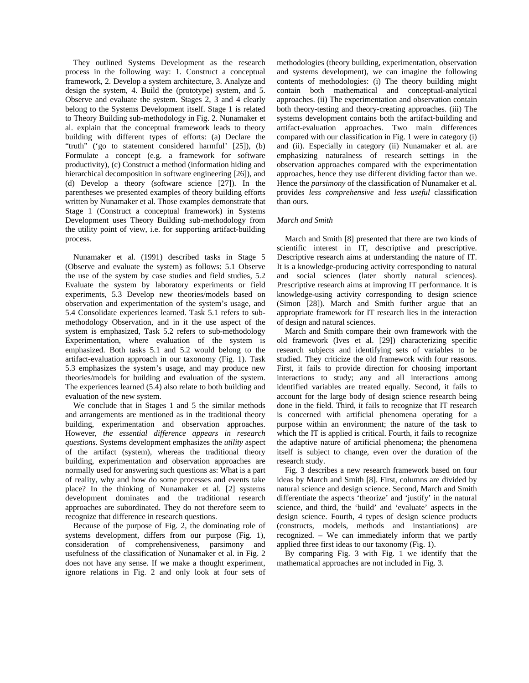They outlined Systems Development as the research process in the following way: 1. Construct a conceptual framework, 2. Develop a system architecture, 3. Analyze and design the system, 4. Build the (prototype) system, and 5. Observe and evaluate the system. Stages 2, 3 and 4 clearly belong to the Systems Development itself. Stage 1 is related to Theory Building sub-methodology in Fig. 2. Nunamaker et al. explain that the conceptual framework leads to theory building with different types of efforts: (a) Declare the "truth" ('go to statement considered harmful' [25]), (b) Formulate a concept (e.g. a framework for software productivity), (c) Construct a method (information hiding and hierarchical decomposition in software engineering [26]), and (d) Develop a theory (software science [27]). In the parentheses we presented examples of theory building efforts written by Nunamaker et al. Those examples demonstrate that Stage 1 (Construct a conceptual framework) in Systems Development uses Theory Building sub-methodology from the utility point of view, i.e. for supporting artifact-building process.

 Nunamaker et al. (1991) described tasks in Stage 5 (Observe and evaluate the system) as follows: 5.1 Observe the use of the system by case studies and field studies, 5.2 Evaluate the system by laboratory experiments or field experiments, 5.3 Develop new theories/models based on observation and experimentation of the system's usage, and 5.4 Consolidate experiences learned. Task 5.1 refers to submethodology Observation, and in it the use aspect of the system is emphasized, Task 5.2 refers to sub-methodology Experimentation, where evaluation of the system is emphasized. Both tasks 5.1 and 5.2 would belong to the artifact-evaluation approach in our taxonomy (Fig. 1). Task 5.3 emphasizes the system's usage, and may produce new theories/models for building and evaluation of the system. The experiences learned (5.4) also relate to both building and evaluation of the new system.

 We conclude that in Stages 1 and 5 the similar methods and arrangements are mentioned as in the traditional theory building, experimentation and observation approaches. However, *the essential difference appears in research questions*. Systems development emphasizes the *utility* aspect of the artifact (system), whereas the traditional theory building, experimentation and observation approaches are normally used for answering such questions as: What is a part of reality, why and how do some processes and events take place? In the thinking of Nunamaker et al. [2] systems development dominates and the traditional research approaches are subordinated. They do not therefore seem to recognize that difference in research questions.

 Because of the purpose of Fig. 2, the dominating role of systems development, differs from our purpose (Fig. 1), consideration of comprehensiveness, parsimony and usefulness of the classification of Nunamaker et al. in Fig. 2 does not have any sense. If we make a thought experiment, ignore relations in Fig. 2 and only look at four sets of methodologies (theory building, experimentation, observation and systems development), we can imagine the following contents of methodologies: (i) The theory building might contain both mathematical and conceptual-analytical approaches. (ii) The experimentation and observation contain both theory-testing and theory-creating approaches. (iii) The systems development contains both the artifact-building and artifact-evaluation approaches. Two main differences compared with our classification in Fig. 1 were in category (i) and (ii). Especially in category (ii) Nunamaker et al. are emphasizing naturalness of research settings in the observation approaches compared with the experimentation approaches, hence they use different dividing factor than we. Hence the *parsimony* of the classification of Nunamaker et al. provides *less comprehensive* and *less useful* classification than ours.

#### *March and Smith*

 March and Smith [8] presented that there are two kinds of scientific interest in IT, descriptive and prescriptive. Descriptive research aims at understanding the nature of IT. It is a knowledge-producing activity corresponding to natural and social sciences (later shortly natural sciences). Prescriptive research aims at improving IT performance. It is knowledge-using activity corresponding to design science (Simon [28]). March and Smith further argue that an appropriate framework for IT research lies in the interaction of design and natural sciences.

 March and Smith compare their own framework with the old framework (Ives et al. [29]) characterizing specific research subjects and identifying sets of variables to be studied. They criticize the old framework with four reasons. First, it fails to provide direction for choosing important interactions to study; any and all interactions among identified variables are treated equally. Second, it fails to account for the large body of design science research being done in the field. Third, it fails to recognize that IT research is concerned with artificial phenomena operating for a purpose within an environment; the nature of the task to which the IT is applied is critical. Fourth, it fails to recognize the adaptive nature of artificial phenomena; the phenomena itself is subject to change, even over the duration of the research study.

 Fig. 3 describes a new research framework based on four ideas by March and Smith [8]. First, columns are divided by natural science and design science. Second, March and Smith differentiate the aspects 'theorize' and 'justify' in the natural science, and third, the 'build' and 'evaluate' aspects in the design science. Fourth, 4 types of design science products (constructs, models, methods and instantiations) are recognized. – We can immediately inform that we partly applied three first ideas to our taxonomy (Fig. 1).

 By comparing Fig. 3 with Fig. 1 we identify that the mathematical approaches are not included in Fig. 3.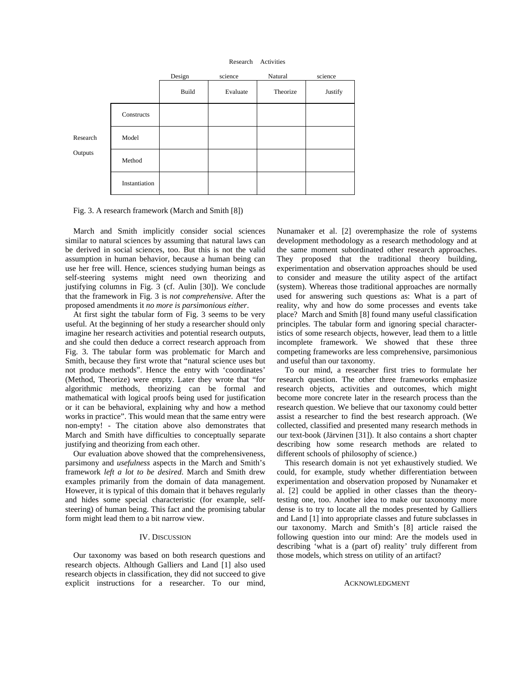



Fig. 3. A research framework (March and Smith [8])

 March and Smith implicitly consider social sciences similar to natural sciences by assuming that natural laws can be derived in social sciences, too. But this is not the valid assumption in human behavior, because a human being can use her free will. Hence, sciences studying human beings as self-steering systems might need own theorizing and justifying columns in Fig. 3 (cf. Aulin [30]). We conclude that the framework in Fig. 3 is *not comprehensive*. After the proposed amendments it *no more is parsimonious either*.

 At first sight the tabular form of Fig. 3 seems to be very useful. At the beginning of her study a researcher should only imagine her research activities and potential research outputs, and she could then deduce a correct research approach from Fig. 3. The tabular form was problematic for March and Smith, because they first wrote that "natural science uses but not produce methods". Hence the entry with 'coordinates' (Method, Theorize) were empty. Later they wrote that "for algorithmic methods, theorizing can be formal and mathematical with logical proofs being used for justification or it can be behavioral, explaining why and how a method works in practice". This would mean that the same entry were non-empty! - The citation above also demonstrates that March and Smith have difficulties to conceptually separate justifying and theorizing from each other.

 Our evaluation above showed that the comprehensiveness, parsimony and *usefulness* aspects in the March and Smith's framework *left a lot to be desired*. March and Smith drew examples primarily from the domain of data management. However, it is typical of this domain that it behaves regularly and hides some special characteristic (for example, selfsteering) of human being. This fact and the promising tabular form might lead them to a bit narrow view.

#### IV. DISCUSSION

 Our taxonomy was based on both research questions and research objects. Although Galliers and Land [1] also used research objects in classification, they did not succeed to give explicit instructions for a researcher. To our mind, Nunamaker et al. [2] overemphasize the role of systems development methodology as a research methodology and at the same moment subordinated other research approaches. They proposed that the traditional theory building, experimentation and observation approaches should be used to consider and measure the utility aspect of the artifact (system). Whereas those traditional approaches are normally used for answering such questions as: What is a part of reality, why and how do some processes and events take place? March and Smith [8] found many useful classification principles. The tabular form and ignoring special characteristics of some research objects, however, lead them to a little incomplete framework. We showed that these three competing frameworks are less comprehensive, parsimonious and useful than our taxonomy.

 To our mind, a researcher first tries to formulate her research question. The other three frameworks emphasize research objects, activities and outcomes, which might become more concrete later in the research process than the research question. We believe that our taxonomy could better assist a researcher to find the best research approach. (We collected, classified and presented many research methods in our text-book (Järvinen [31]). It also contains a short chapter describing how some research methods are related to different schools of philosophy of science.)

 This research domain is not yet exhaustively studied. We could, for example, study whether differentiation between experimentation and observation proposed by Nunamaker et al. [2] could be applied in other classes than the theorytesting one, too. Another idea to make our taxonomy more dense is to try to locate all the modes presented by Galliers and Land [1] into appropriate classes and future subclasses in our taxonomy. March and Smith's [8] article raised the following question into our mind: Are the models used in describing 'what is a (part of) reality' truly different from those models, which stress on utility of an artifact?

#### ACKNOWLEDGMENT